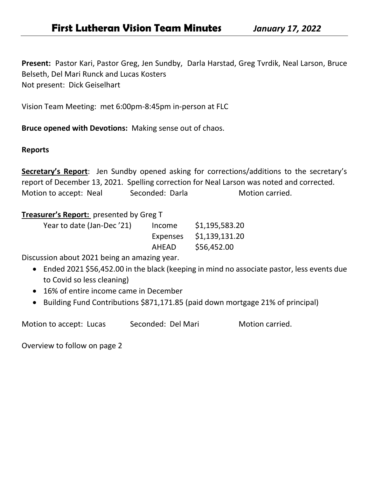**Present:** Pastor Kari, Pastor Greg, Jen Sundby, Darla Harstad, Greg Tvrdik, Neal Larson, Bruce Belseth, Del Mari Runck and Lucas Kosters Not present: Dick Geiselhart

Vision Team Meeting: met 6:00pm-8:45pm in-person at FLC

**Bruce opened with Devotions:** Making sense out of chaos.

#### **Reports**

**Secretary's Report**: Jen Sundby opened asking for corrections/additions to the secretary's report of December 13, 2021. Spelling correction for Neal Larson was noted and corrected. Motion to accept: Neal Seconded: Darla Motion carried.

### **Treasurer's Report:** presented by Greg T

| Year to date (Jan-Dec '21) | Income   | \$1,195,583.20 |
|----------------------------|----------|----------------|
|                            | Expenses | \$1,139,131.20 |
|                            | AHEAD    | \$56,452.00    |

Discussion about 2021 being an amazing year.

- Ended 2021 \$56,452.00 in the black (keeping in mind no associate pastor, less events due to Covid so less cleaning)
- 16% of entire income came in December
- Building Fund Contributions \$871,171.85 (paid down mortgage 21% of principal)

Motion to accept: Lucas Seconded: Del Mari Motion carried.

Overview to follow on page 2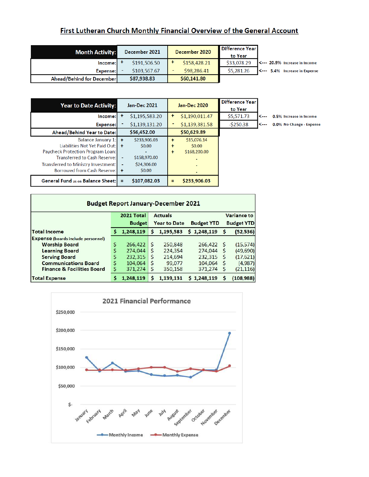### First Lutheran Church Monthly Financial Overview of the General Account

| <b>Month Activity:</b>    | December 2021 | December 2020 | Difference Year!<br>to Year |                               |
|---------------------------|---------------|---------------|-----------------------------|-------------------------------|
| Income:1 <sup>†</sup>     | \$191,506.50  | \$158,428.21  | \$33,078.29                 | K--- 20.9% Increase in Income |
| Expense:                  | \$103.567.67  | \$98,286.41   | \$5,281.26                  | S--- 5.4% Increase in Expense |
| Ahead/Behind for December | \$87,938.83   | \$60,141.80   |                             |                               |

| <b>Year to Date Activity:</b>               |                          | <b>Jan-Dec 2021</b> |           | <b>Jan-Dec 2020</b> | <b>Difference Year</b><br>to Year |
|---------------------------------------------|--------------------------|---------------------|-----------|---------------------|-----------------------------------|
| Income:                                     | ÷                        | \$1,195,583.20      | ÷         | \$1,190,011.47      | \$5,571.73                        |
| <b>Expense:</b>                             |                          | \$1,139,131.20      |           | \$1,139,381.58      | $-$ \$250.38                      |
| Ahead/Behind Year to Date:                  |                          | \$56,452.00         |           | \$50,629.89         |                                   |
| Balance January $1: \mathbb{I} \rightarrow$ |                          | \$233,906.03        | $\ddot{}$ | S15,076.14          |                                   |
| Liabilities Not Yet Paid Out:               | $\ddot{}$                | \$0.00              |           | \$0.00              |                                   |
| Paycheck Protection Program Loan:           |                          |                     | ÷         | \$168,200.00        |                                   |
| Transferred to Cash Reserve:                | $\overline{\phantom{a}}$ | S158,970.00         |           |                     |                                   |
| Transferred to Ministry Investment:         |                          | \$24,306,00         |           |                     |                                   |
| Borrowed from Cash Reserve:                 | $+$                      | \$0.00              |           |                     |                                   |
| <b>General Fund as on Balance Sheet:</b>    | $=$                      | \$107,082.03        |           | \$233,906.03        |                                   |

0.5% Increase in Income

0.0% No Change - Expense

| <b>Budget Report January-December 2021</b> |            |                                      |                |                   |                   |                    |           |
|--------------------------------------------|------------|--------------------------------------|----------------|-------------------|-------------------|--------------------|-----------|
|                                            | 2021 Total |                                      | <b>Actuals</b> |                   |                   | <b>Variance to</b> |           |
|                                            |            | <b>Year to Date</b><br><b>Budget</b> |                | <b>Budget YTD</b> | <b>Budget YTD</b> |                    |           |
| <b>Total Income</b>                        |            | 1,248,119                            | s              | 1,195,583         | \$1,248,119       | s                  | (52, 536) |
| <b>Expense (boards include personnel)</b>  |            |                                      |                |                   |                   |                    |           |
| <b>Worship Board</b>                       |            | 266,422                              | S              | 250,848           | 266,422           | <b>S</b>           | (15, 574) |
| <b>Learning Board</b>                      |            | 274,044                              | S              | 224,354           | 274,044           |                    | (49,690)  |
| <b>Serving Board</b>                       |            | 232,315                              | Ś              | 214,694           | 232,315           |                    | (17, 621) |
| <b>Communications Board</b>                |            | 104.064                              | S              | 99,077            | 104.064           |                    | (4,987)   |
| <b>Finance &amp; Facilities Board</b>      | S          | 371,274                              | S              | 350,158           | 371,274           |                    | (21, 116) |
| <b>Total Expense</b>                       |            | 1,248,119                            | s              | 1,139,131         | \$1,248,119       |                    | (108,988) |

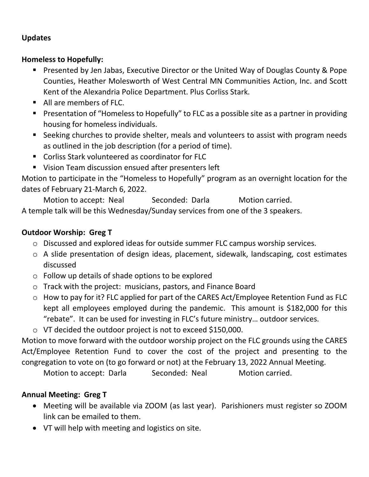## **Updates**

## **Homeless to Hopefully:**

- Presented by Jen Jabas, Executive Director or the United Way of Douglas County & Pope Counties, Heather Molesworth of West Central MN Communities Action, Inc. and Scott Kent of the Alexandria Police Department. Plus Corliss Stark.
- All are members of FLC.
- Presentation of "Homeless to Hopefully" to FLC as a possible site as a partner in providing housing for homeless individuals.
- Seeking churches to provide shelter, meals and volunteers to assist with program needs as outlined in the job description (for a period of time).
- Corliss Stark volunteered as coordinator for FLC
- Vision Team discussion ensued after presenters left

Motion to participate in the "Homeless to Hopefully" program as an overnight location for the dates of February 21-March 6, 2022.

Motion to accept: Neal Seconded: Darla Motion carried. A temple talk will be this Wednesday/Sunday services from one of the 3 speakers.

# **Outdoor Worship: Greg T**

- o Discussed and explored ideas for outside summer FLC campus worship services.
- o A slide presentation of design ideas, placement, sidewalk, landscaping, cost estimates discussed
- o Follow up details of shade options to be explored
- o Track with the project: musicians, pastors, and Finance Board
- o How to pay for it? FLC applied for part of the CARES Act/Employee Retention Fund as FLC kept all employees employed during the pandemic. This amount is \$182,000 for this "rebate". It can be used for investing in FLC's future ministry… outdoor services.
- o VT decided the outdoor project is not to exceed \$150,000.

Motion to move forward with the outdoor worship project on the FLC grounds using the CARES Act/Employee Retention Fund to cover the cost of the project and presenting to the congregation to vote on (to go forward or not) at the February 13, 2022 Annual Meeting.

Motion to accept: Darla Seconded: Neal Motion carried.

# **Annual Meeting: Greg T**

- Meeting will be available via ZOOM (as last year). Parishioners must register so ZOOM link can be emailed to them.
- VT will help with meeting and logistics on site.